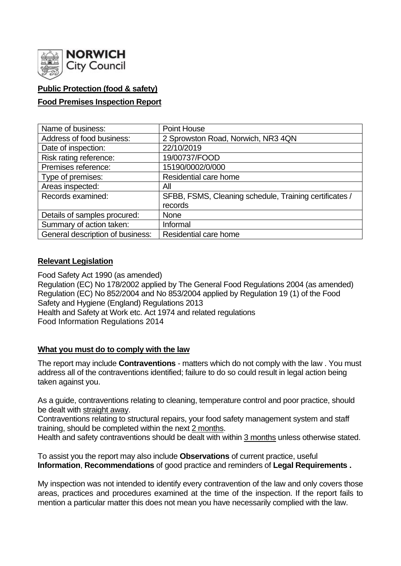

## **Public Protection (food & safety)**

#### **Food Premises Inspection Report**

| Name of business:                | Point House                                            |  |  |  |  |  |
|----------------------------------|--------------------------------------------------------|--|--|--|--|--|
| Address of food business:        | 2 Sprowston Road, Norwich, NR3 4QN                     |  |  |  |  |  |
| Date of inspection:              | 22/10/2019                                             |  |  |  |  |  |
| Risk rating reference:           | 19/00737/FOOD                                          |  |  |  |  |  |
| Premises reference:              | 15190/0002/0/000                                       |  |  |  |  |  |
| Type of premises:                | Residential care home                                  |  |  |  |  |  |
| Areas inspected:                 | All                                                    |  |  |  |  |  |
| Records examined:                | SFBB, FSMS, Cleaning schedule, Training certificates / |  |  |  |  |  |
|                                  | records                                                |  |  |  |  |  |
| Details of samples procured:     | <b>None</b>                                            |  |  |  |  |  |
| Summary of action taken:         | Informal                                               |  |  |  |  |  |
| General description of business: | Residential care home                                  |  |  |  |  |  |

#### **Relevant Legislation**

Food Safety Act 1990 (as amended) Regulation (EC) No 178/2002 applied by The General Food Regulations 2004 (as amended) Regulation (EC) No 852/2004 and No 853/2004 applied by Regulation 19 (1) of the Food Safety and Hygiene (England) Regulations 2013 Health and Safety at Work etc. Act 1974 and related regulations Food Information Regulations 2014

#### **What you must do to comply with the law**

The report may include **Contraventions** - matters which do not comply with the law . You must address all of the contraventions identified; failure to do so could result in legal action being taken against you.

As a guide, contraventions relating to cleaning, temperature control and poor practice, should be dealt with straight away.

Contraventions relating to structural repairs, your food safety management system and staff training, should be completed within the next 2 months.

Health and safety contraventions should be dealt with within 3 months unless otherwise stated.

To assist you the report may also include **Observations** of current practice, useful **Information**, **Recommendations** of good practice and reminders of **Legal Requirements .**

My inspection was not intended to identify every contravention of the law and only covers those areas, practices and procedures examined at the time of the inspection. If the report fails to mention a particular matter this does not mean you have necessarily complied with the law.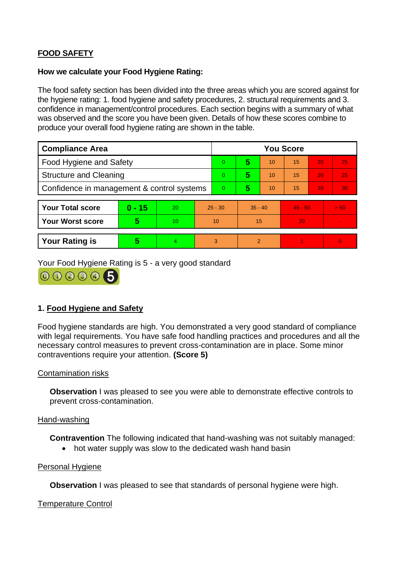# **FOOD SAFETY**

#### **How we calculate your Food Hygiene Rating:**

The food safety section has been divided into the three areas which you are scored against for the hygiene rating: 1. food hygiene and safety procedures, 2. structural requirements and 3. confidence in management/control procedures. Each section begins with a summary of what was observed and the score you have been given. Details of how these scores combine to produce your overall food hygiene rating are shown in the table.

| <b>Compliance Area</b>                     |          |    | <b>You Score</b> |   |           |    |           |    |          |  |
|--------------------------------------------|----------|----|------------------|---|-----------|----|-----------|----|----------|--|
| Food Hygiene and Safety                    |          |    |                  | 0 | 5         | 10 | 15        | 20 | 25       |  |
| <b>Structure and Cleaning</b>              |          |    | 0                | 5 | 10        | 15 | 20        | 25 |          |  |
| Confidence in management & control systems |          |    | 0                | 5 | 10        | 15 | 20        | 30 |          |  |
|                                            |          |    |                  |   |           |    |           |    |          |  |
| <b>Your Total score</b>                    | $0 - 15$ | 20 | $25 - 30$        |   | $35 - 40$ |    | $45 - 50$ |    | > 50     |  |
| <b>Your Worst score</b>                    | 5        | 10 | 10               |   | 15        |    | 20        |    |          |  |
|                                            |          |    |                  |   |           |    |           |    |          |  |
| <b>Your Rating is</b>                      | 5        | 4  |                  | 3 | 2         |    |           |    | $\Omega$ |  |

Your Food Hygiene Rating is 5 - a very good standard



## **1. Food Hygiene and Safety**

Food hygiene standards are high. You demonstrated a very good standard of compliance with legal requirements. You have safe food handling practices and procedures and all the necessary control measures to prevent cross-contamination are in place. Some minor contraventions require your attention. **(Score 5)**

#### Contamination risks

**Observation** I was pleased to see you were able to demonstrate effective controls to prevent cross-contamination.

#### Hand-washing

**Contravention** The following indicated that hand-washing was not suitably managed:

• hot water supply was slow to the dedicated wash hand basin

#### Personal Hygiene

**Observation** I was pleased to see that standards of personal hygiene were high.

#### Temperature Control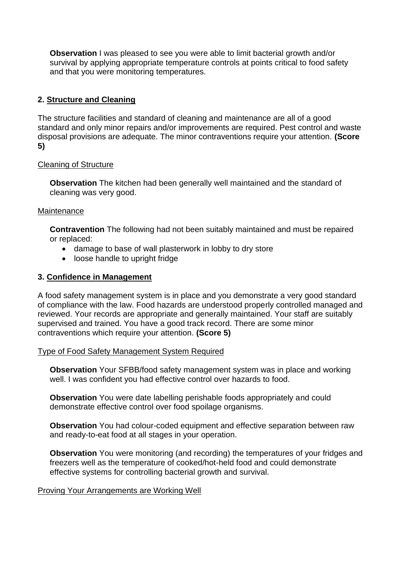**Observation** I was pleased to see you were able to limit bacterial growth and/or survival by applying appropriate temperature controls at points critical to food safety and that you were monitoring temperatures.

## **2. Structure and Cleaning**

The structure facilities and standard of cleaning and maintenance are all of a good standard and only minor repairs and/or improvements are required. Pest control and waste disposal provisions are adequate. The minor contraventions require your attention. **(Score 5)**

### Cleaning of Structure

**Observation** The kitchen had been generally well maintained and the standard of cleaning was very good.

### **Maintenance**

**Contravention** The following had not been suitably maintained and must be repaired or replaced:

- damage to base of wall plasterwork in lobby to dry store
- loose handle to upright fridge

### **3. Confidence in Management**

A food safety management system is in place and you demonstrate a very good standard of compliance with the law. Food hazards are understood properly controlled managed and reviewed. Your records are appropriate and generally maintained. Your staff are suitably supervised and trained. You have a good track record. There are some minor contraventions which require your attention. **(Score 5)**

#### Type of Food Safety Management System Required

**Observation** Your SFBB/food safety management system was in place and working well. I was confident you had effective control over hazards to food.

**Observation** You were date labelling perishable foods appropriately and could demonstrate effective control over food spoilage organisms.

**Observation** You had colour-coded equipment and effective separation between raw and ready-to-eat food at all stages in your operation.

**Observation** You were monitoring (and recording) the temperatures of your fridges and freezers well as the temperature of cooked/hot-held food and could demonstrate effective systems for controlling bacterial growth and survival.

#### Proving Your Arrangements are Working Well